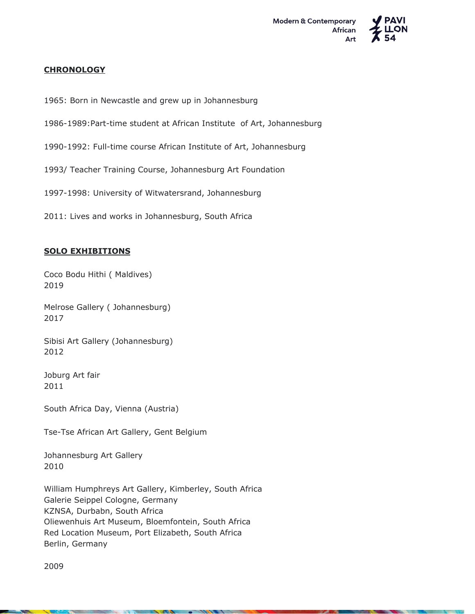

### **CHRONOLOGY**

- 1965: Born in Newcastle and grew up in Johannesburg
- 1986-1989:Part-time student at African Institute of Art, Johannesburg
- 1990-1992: Full-time course African Institute of Art, Johannesburg
- 1993/ Teacher Training Course, Johannesburg Art Foundation
- 1997-1998: University of Witwatersrand, Johannesburg
- 2011: Lives and works in Johannesburg, South Africa

# **SOLO EXHIBITIONS**

Coco Bodu Hithi ( Maldives) 2019

Melrose Gallery ( Johannesburg) 2017

Sibisi Art Gallery (Johannesburg) 2012

Joburg Art fair 2011

South Africa Day, Vienna (Austria)

Tse-Tse African Art Gallery, Gent Belgium

Johannesburg Art Gallery 2010

William Humphreys Art Gallery, Kimberley, South Africa Galerie Seippel Cologne, Germany KZNSA, Durbabn, South Africa Oliewenhuis Art Museum, Bloemfontein, South Africa Red Location Museum, Port Elizabeth, South Africa Berlin, Germany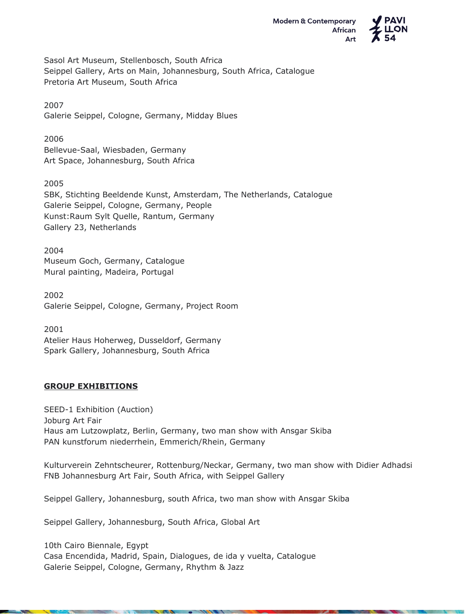

Sasol Art Museum, Stellenbosch, South Africa Seippel Gallery, Arts on Main, Johannesburg, South Africa, Catalogue Pretoria Art Museum, South Africa

2007 Galerie Seippel, Cologne, Germany, Midday Blues

#### 2006

Bellevue-Saal, Wiesbaden, Germany Art Space, Johannesburg, South Africa

2005 SBK, Stichting Beeldende Kunst, Amsterdam, The Netherlands, Catalogue

Galerie Seippel, Cologne, Germany, People Kunst:Raum Sylt Quelle, Rantum, Germany Gallery 23, Netherlands

2004 Museum Goch, Germany, Catalogue Mural painting, Madeira, Portugal

2002 Galerie Seippel, Cologne, Germany, Project Room

2001 Atelier Haus Hoherweg, Dusseldorf, Germany Spark Gallery, Johannesburg, South Africa

# **GROUP EXHIBITIONS**

SEED-1 Exhibition (Auction) Joburg Art Fair Haus am Lutzowplatz, Berlin, Germany, two man show with Ansgar Skiba PAN kunstforum niederrhein, Emmerich/Rhein, Germany

Kulturverein Zehntscheurer, Rottenburg/Neckar, Germany, two man show with Didier Adhadsi FNB Johannesburg Art Fair, South Africa, with Seippel Gallery

Seippel Gallery, Johannesburg, south Africa, two man show with Ansgar Skiba

Seippel Gallery, Johannesburg, South Africa, Global Art

10th Cairo Biennale, Egypt Casa Encendida, Madrid, Spain, Dialogues, de ida y vuelta, Catalogue Galerie Seippel, Cologne, Germany, Rhythm & Jazz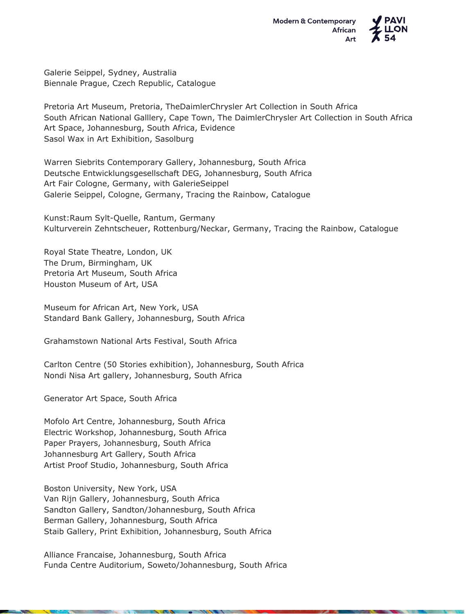

Galerie Seippel, Sydney, Australia Biennale Prague, Czech Republic, Catalogue

Pretoria Art Museum, Pretoria, TheDaimlerChrysler Art Collection in South Africa South African National Galllery, Cape Town, The DaimlerChrysler Art Collection in South Africa Art Space, Johannesburg, South Africa, Evidence Sasol Wax in Art Exhibition, Sasolburg

Warren Siebrits Contemporary Gallery, Johannesburg, South Africa Deutsche Entwicklungsgesellschaft DEG, Johannesburg, South Africa Art Fair Cologne, Germany, with GalerieSeippel Galerie Seippel, Cologne, Germany, Tracing the Rainbow, Catalogue

Kunst:Raum Sylt-Quelle, Rantum, Germany Kulturverein Zehntscheuer, Rottenburg/Neckar, Germany, Tracing the Rainbow, Catalogue

Royal State Theatre, London, UK The Drum, Birmingham, UK Pretoria Art Museum, South Africa Houston Museum of Art, USA

Museum for African Art, New York, USA Standard Bank Gallery, Johannesburg, South Africa

Grahamstown National Arts Festival, South Africa

Carlton Centre (50 Stories exhibition), Johannesburg, South Africa Nondi Nisa Art gallery, Johannesburg, South Africa

Generator Art Space, South Africa

Mofolo Art Centre, Johannesburg, South Africa Electric Workshop, Johannesburg, South Africa Paper Prayers, Johannesburg, South Africa Johannesburg Art Gallery, South Africa Artist Proof Studio, Johannesburg, South Africa

Boston University, New York, USA Van Rijn Gallery, Johannesburg, South Africa Sandton Gallery, Sandton/Johannesburg, South Africa Berman Gallery, Johannesburg, South Africa Staib Gallery, Print Exhibition, Johannesburg, South Africa

Alliance Francaise, Johannesburg, South Africa Funda Centre Auditorium, Soweto/Johannesburg, South Africa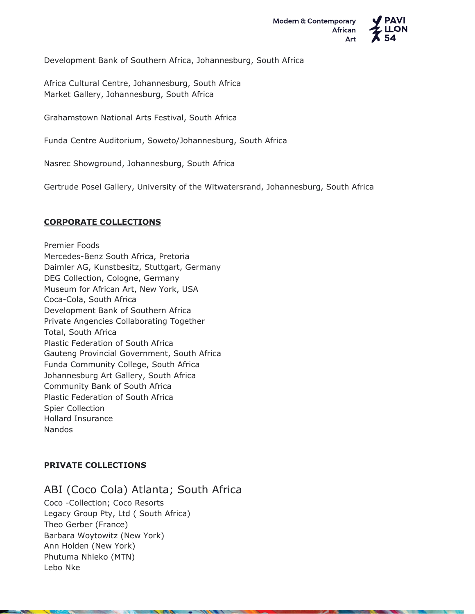

Development Bank of Southern Africa, Johannesburg, South Africa

Africa Cultural Centre, Johannesburg, South Africa Market Gallery, Johannesburg, South Africa

Grahamstown National Arts Festival, South Africa

Funda Centre Auditorium, Soweto/Johannesburg, South Africa

Nasrec Showground, Johannesburg, South Africa

Gertrude Posel Gallery, University of the Witwatersrand, Johannesburg, South Africa

### **CORPORATE COLLECTIONS**

Premier Foods Mercedes-Benz South Africa, Pretoria Daimler AG, Kunstbesitz, Stuttgart, Germany DEG Collection, Cologne, Germany Museum for African Art, New York, USA Coca-Cola, South Africa Development Bank of Southern Africa Private Angencies Collaborating Together Total, South Africa Plastic Federation of South Africa Gauteng Provincial Government, South Africa Funda Community College, South Africa Johannesburg Art Gallery, South Africa Community Bank of South Africa Plastic Federation of South Africa Spier Collection Hollard Insurance Nandos

# **PRIVATE COLLECTIONS**

ABI (Coco Cola) Atlanta; South Africa Coco -Collection; Coco Resorts Legacy Group Pty, Ltd ( South Africa) Theo Gerber (France) Barbara Woytowitz (New York) Ann Holden (New York) Phutuma Nhleko (MTN) Lebo Nke